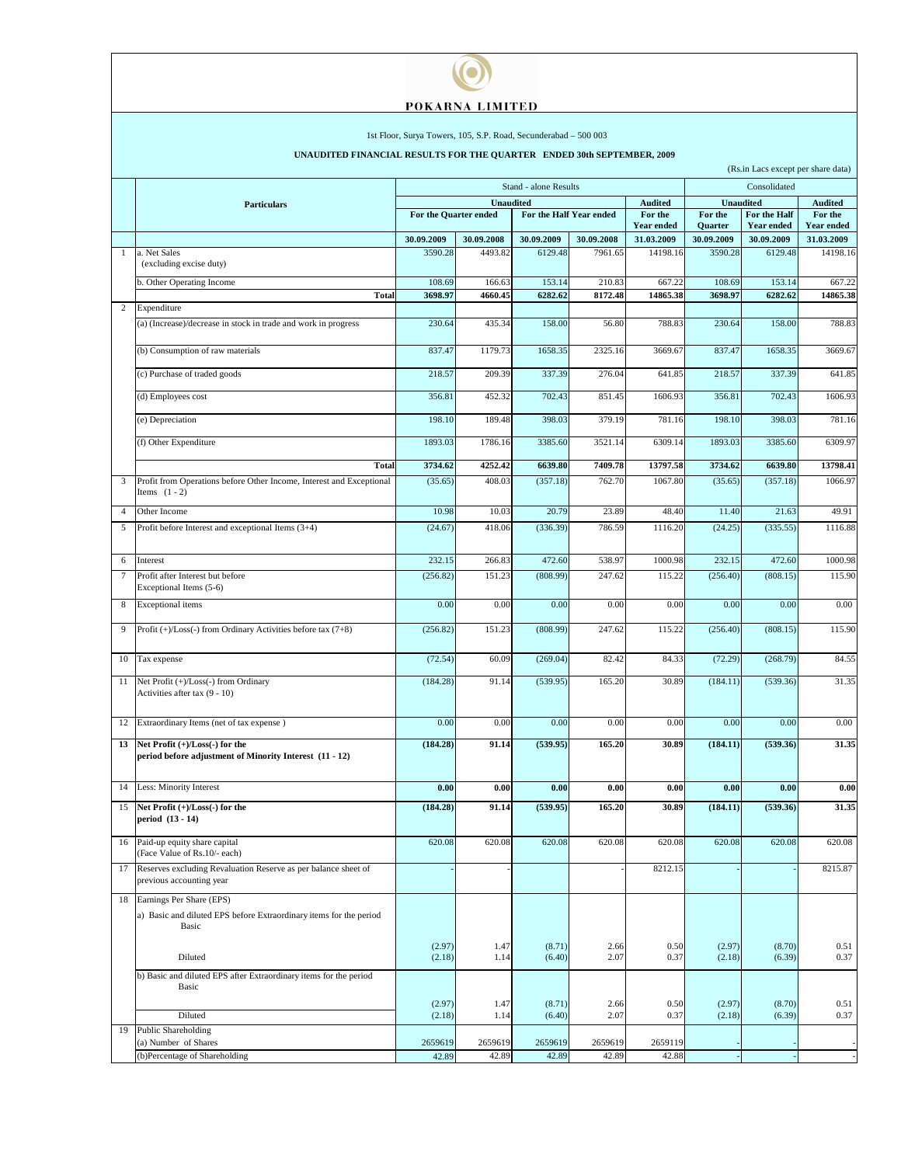## POKARNA LIMITED

 $\bullet$ 

## 1st Floor, Surya Towers, 105, S.P. Road, Secunderabad – 500 003

## **UNAUDITED FINANCIAL RESULTS FOR THE QUARTER ENDED 30th SEPTEMBER, 2009**

|                | (Rs.in Lacs except per share data)                                                              |                       |              |                         |                |                        |                       |                                 |                                 |  |
|----------------|-------------------------------------------------------------------------------------------------|-----------------------|--------------|-------------------------|----------------|------------------------|-----------------------|---------------------------------|---------------------------------|--|
|                |                                                                                                 |                       |              | Stand - alone Results   | Consolidated   |                        |                       |                                 |                                 |  |
|                | <b>Particulars</b>                                                                              | <b>Unaudited</b>      |              |                         | <b>Audited</b> |                        | <b>Unaudited</b>      | <b>Audited</b>                  |                                 |  |
|                |                                                                                                 | For the Quarter ended |              | For the Half Year ended |                | For the                | For the               | For the Half                    | For the                         |  |
|                |                                                                                                 | 30.09.2009            | 30.09.2008   | 30.09.2009              | 30.09.2008     | <b>Year ended</b>      | Quarter<br>30.09.2009 | <b>Year ended</b><br>30.09.2009 | <b>Year ended</b><br>31.03.2009 |  |
| 1              | a. Net Sales                                                                                    | 3590.28               | 4493.82      | 6129.48                 | 7961.65        | 31.03.2009<br>14198.16 | 3590.28               | 6129.48                         | 14198.16                        |  |
|                | (excluding excise duty)                                                                         |                       |              |                         |                |                        |                       |                                 |                                 |  |
|                | b. Other Operating Income                                                                       | 108.69                | 166.63       | 153.14                  | 210.83         | 667.22                 | 108.69                | 153.14                          | 667.22                          |  |
| $\overline{2}$ | Total                                                                                           | 3698.97               | 4660.45      | 6282.62                 | 8172.48        | 14865.38               | 3698.97               | 6282.62                         | 14865.38                        |  |
|                | Expenditure                                                                                     |                       |              |                         |                |                        |                       |                                 |                                 |  |
|                | (a) (Increase)/decrease in stock in trade and work in progress                                  | 230.64                | 435.34       | 158.00                  | 56.80          | 788.83                 | 230.64                | 158.00                          | 788.83                          |  |
|                | (b) Consumption of raw materials                                                                | 837.47                | 1179.73      | 1658.35                 | 2325.16        | 3669.67                | 837.47                | 1658.35                         | 3669.67                         |  |
|                | (c) Purchase of traded goods                                                                    | 218.57                | 209.39       | 337.39                  | 276.04         | 641.85                 | 218.57                | 337.39                          | 641.85                          |  |
|                | (d) Employees cost                                                                              | 356.81                | 452.32       | 702.43                  | 851.45         | 1606.93                | 356.81                | 702.43                          | 1606.93                         |  |
|                | (e) Depreciation                                                                                | 198.10                | 189.48       | 398.03                  | 379.19         | 781.16                 | 198.10                | 398.03                          | 781.16                          |  |
|                | (f) Other Expenditure                                                                           | 1893.03               | 1786.16      | 3385.60                 | 3521.14        | 6309.14                | 1893.03               | 3385.60                         | 6309.97                         |  |
|                | <b>Total</b>                                                                                    | 3734.62               | 4252.42      | 6639.80                 | 7409.78        | 13797.58               | 3734.62               | 6639.80                         | 13798.41                        |  |
| 3              | Profit from Operations before Other Income, Interest and Exceptional<br>Items $(1 - 2)$         | (35.65)               | 408.03       | (357.18)                | 762.70         | 1067.80                | (35.65)               | (357.18)                        | 1066.97                         |  |
| $\overline{4}$ | Other Income                                                                                    | 10.98                 | 10.03        | 20.79                   | 23.89          | 48.40                  | 11.40                 | 21.63                           | 49.91                           |  |
| 5              | Profit before Interest and exceptional Items (3+4)                                              | (24.67)               | 418.06       | (336.39)                | 786.59         | 1116.20                | (24.25)               | (335.55)                        | 1116.88                         |  |
|                |                                                                                                 |                       |              |                         |                |                        |                       |                                 |                                 |  |
| 6              | Interest                                                                                        | 232.15                | 266.83       | 472.60                  | 538.97         | 1000.98                | 232.15                | 472.60                          | 1000.98                         |  |
| 7              | Profit after Interest but before<br>Exceptional Items (5-6)                                     | (256.82)              | 151.23       | (808.99)                | 247.62         | 115.22                 | (256.40)              | (808.15)                        | 115.90                          |  |
| 8              | <b>Exceptional</b> items                                                                        | 0.00                  | 0.00         | 0.00                    | 0.00           | 0.00                   | 0.00                  | 0.00                            | 0.00                            |  |
| 9              | Profit (+)/Loss(-) from Ordinary Activities before tax (7+8)                                    | (256.82)              | 151.23       | (808.99)                | 247.62         | 115.22                 | (256.40)              | (808.15)                        | 115.90                          |  |
| 10             | Tax expense                                                                                     | (72.54)               | 60.09        | (269.04)                | 82.42          | 84.33                  | (72.29)               | (268.79)                        | 84.55                           |  |
| 11             | Net Profit (+)/Loss(-) from Ordinary<br>Activities after tax (9 - 10)                           | (184.28)              | 91.14        | (539.95)                | 165.20         | 30.89                  | (184.11)              | (539.36)                        | 31.35                           |  |
| 12             | Extraordinary Items (net of tax expense)                                                        | 0.00                  | 0.00         | 0.00                    | 0.00           | 0.00                   | 0.00                  | 0.00                            | 0.00                            |  |
| 13             | Net Profit $(+)/$ Loss $(-)$ for the<br>period before adjustment of Minority Interest (11 - 12) | (184.28)              | 91.14        | (539.95)                | 165.20         | 30.89                  | (184.11)              | (539.36)                        | 31.35                           |  |
| 14             | Less: Minority Interest                                                                         | 0.00                  | 0.00         | 0.00                    | 0.00           | 0.00                   | 0.00                  | 0.00                            | 0.00                            |  |
| 15             | Net Profit (+)/Loss(-) for the                                                                  | (184.28)              | 91.14        | (539.95)                | 165.20         | 30.89                  | (184.11)              | (539.36)                        | 31.35                           |  |
|                | period (13 - 14)                                                                                |                       |              |                         |                |                        |                       |                                 |                                 |  |
| 16             | Paid-up equity share capital<br>(Face Value of Rs.10/- each)                                    | 620.08                | 620.08       | 620.08                  | 620.08         | 620.08                 | 620.08                | 620.08                          | 620.08                          |  |
| 17             | Reserves excluding Revaluation Reserve as per balance sheet of<br>previous accounting year      |                       |              |                         |                | 8212.15                |                       |                                 | 8215.87                         |  |
| 18             | Earnings Per Share (EPS)                                                                        |                       |              |                         |                |                        |                       |                                 |                                 |  |
|                | a) Basic and diluted EPS before Extraordinary items for the period<br>Basic                     |                       |              |                         |                |                        |                       |                                 |                                 |  |
|                | Diluted                                                                                         | (2.97)<br>(2.18)      | 1.47<br>1.14 | (8.71)<br>(6.40)        | 2.66<br>2.07   | 0.50<br>0.37           | (2.97)<br>(2.18)      | (8.70)<br>(6.39)                | 0.51<br>0.37                    |  |
|                | b) Basic and diluted EPS after Extraordinary items for the period<br>Basic                      |                       |              |                         |                |                        |                       |                                 |                                 |  |
|                |                                                                                                 | (2.97)                | 1.47         | (8.71)                  | 2.66           | 0.50                   | (2.97)                | (8.70)                          | 0.51                            |  |
|                | Diluted                                                                                         | (2.18)                | 1.14         | (6.40)                  | 2.07           | 0.37                   | (2.18)                | (6.39)                          | 0.37                            |  |
| 19             | <b>Public Shareholding</b>                                                                      |                       |              |                         |                |                        |                       |                                 |                                 |  |
|                | (a) Number of Shares                                                                            | 2659619               | 2659619      | 2659619                 | 2659619        | 2659119                |                       |                                 |                                 |  |
|                | (b)Percentage of Shareholding                                                                   | 42.89                 | 42.89        | 42.89                   | 42.89          | 42.88                  |                       |                                 |                                 |  |